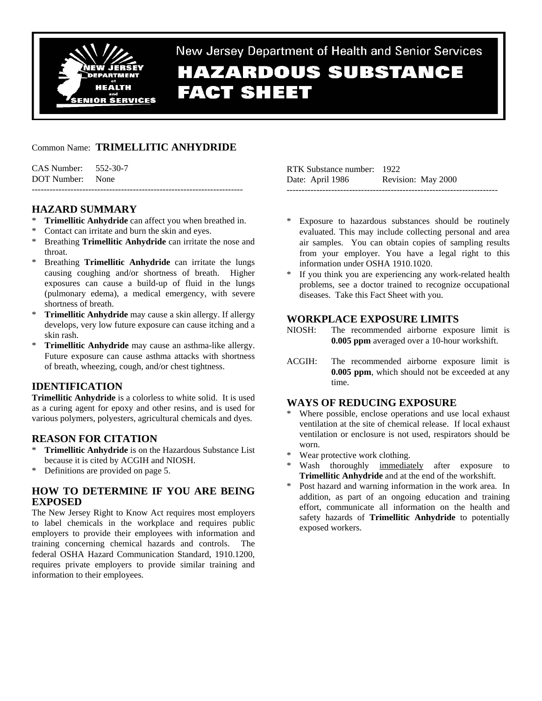

# New Jersey Department of Health and Senior Services **HAZARDOUS SUBSTANCE FACT SHEET**

# Common Name: **TRIMELLITIC ANHYDRIDE**

| CAS Number: 552-30-7 |  |
|----------------------|--|
| DOT Number: None     |  |
|                      |  |

# **HAZARD SUMMARY**

- **Trimellitic Anhydride** can affect you when breathed in.
- Contact can irritate and burn the skin and eyes.
- Breathing **Trimellitic Anhydride** can irritate the nose and throat.
- Breathing **Trimellitic Anhydride** can irritate the lungs causing coughing and/or shortness of breath. Higher exposures can cause a build-up of fluid in the lungs (pulmonary edema), a medical emergency, with severe shortness of breath.
- \* **Trimellitic Anhydride** may cause a skin allergy. If allergy develops, very low future exposure can cause itching and a skin rash.
- **Trimellitic Anhydride** may cause an asthma-like allergy. Future exposure can cause asthma attacks with shortness of breath, wheezing, cough, and/or chest tightness.

# **IDENTIFICATION**

**Trimellitic Anhydride** is a colorless to white solid. It is used as a curing agent for epoxy and other resins, and is used for various polymers, polyesters, agricultural chemicals and dyes.

# **REASON FOR CITATION**

- \* **Trimellitic Anhydride** is on the Hazardous Substance List because it is cited by ACGIH and NIOSH.
- \* Definitions are provided on page 5.

# **HOW TO DETERMINE IF YOU ARE BEING EXPOSED**

The New Jersey Right to Know Act requires most employers to label chemicals in the workplace and requires public employers to provide their employees with information and training concerning chemical hazards and controls. The federal OSHA Hazard Communication Standard, 1910.1200, requires private employers to provide similar training and information to their employees.

| RTK Substance number: 1922 |                    |
|----------------------------|--------------------|
| Date: April 1986           | Revision: May 2000 |
|                            |                    |

- Exposure to hazardous substances should be routinely evaluated. This may include collecting personal and area air samples. You can obtain copies of sampling results from your employer. You have a legal right to this information under OSHA 1910.1020.
- If you think you are experiencing any work-related health problems, see a doctor trained to recognize occupational diseases. Take this Fact Sheet with you.

# **WORKPLACE EXPOSURE LIMITS**

- NIOSH: The recommended airborne exposure limit is **0.005 ppm** averaged over a 10-hour workshift.
- ACGIH: The recommended airborne exposure limit is **0.005 ppm**, which should not be exceeded at any time.

# **WAYS OF REDUCING EXPOSURE**

- Where possible, enclose operations and use local exhaust ventilation at the site of chemical release. If local exhaust ventilation or enclosure is not used, respirators should be worn.
- \* Wear protective work clothing.
- Wash thoroughly immediately after exposure to **Trimellitic Anhydride** and at the end of the workshift.
- Post hazard and warning information in the work area. In addition, as part of an ongoing education and training effort, communicate all information on the health and safety hazards of **Trimellitic Anhydride** to potentially exposed workers.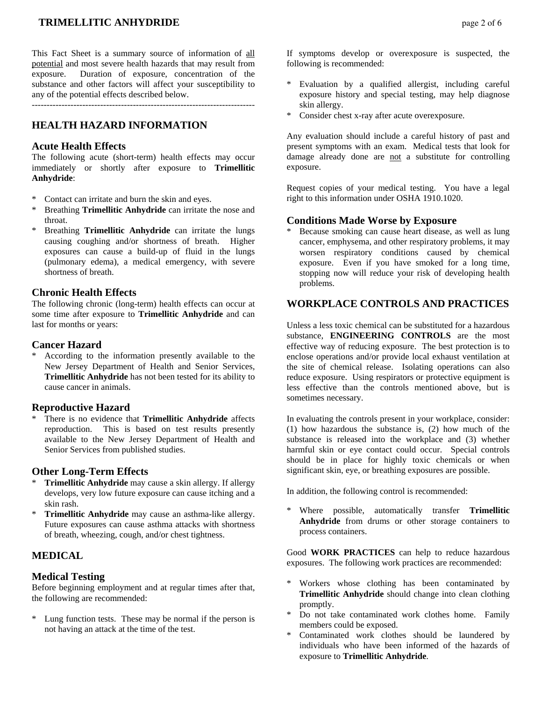# **TRIMELLITIC ANHYDRIDE** *page 2 of 6*

This Fact Sheet is a summary source of information of all potential and most severe health hazards that may result from exposure. Duration of exposure, concentration of the substance and other factors will affect your susceptibility to any of the potential effects described below.

---------------------------------------------------------------------------

#### **HEALTH HAZARD INFORMATION**

#### **Acute Health Effects**

The following acute (short-term) health effects may occur immediately or shortly after exposure to **Trimellitic Anhydride**:

- Contact can irritate and burn the skin and eyes.
- Breathing **Trimellitic Anhydride** can irritate the nose and throat.
- \* Breathing **Trimellitic Anhydride** can irritate the lungs causing coughing and/or shortness of breath. Higher exposures can cause a build-up of fluid in the lungs (pulmonary edema), a medical emergency, with severe shortness of breath.

#### **Chronic Health Effects**

The following chronic (long-term) health effects can occur at some time after exposure to **Trimellitic Anhydride** and can last for months or years:

#### **Cancer Hazard**

According to the information presently available to the New Jersey Department of Health and Senior Services, **Trimellitic Anhydride** has not been tested for its ability to cause cancer in animals.

#### **Reproductive Hazard**

There is no evidence that **Trimellitic Anhydride** affects reproduction. This is based on test results presently available to the New Jersey Department of Health and Senior Services from published studies.

#### **Other Long-Term Effects**

- **Trimellitic Anhydride** may cause a skin allergy. If allergy develops, very low future exposure can cause itching and a skin rash.
- \* **Trimellitic Anhydride** may cause an asthma-like allergy. Future exposures can cause asthma attacks with shortness of breath, wheezing, cough, and/or chest tightness.

#### **MEDICAL**

#### **Medical Testing**

Before beginning employment and at regular times after that, the following are recommended:

\* Lung function tests. These may be normal if the person is not having an attack at the time of the test.

If symptoms develop or overexposure is suspected, the following is recommended:

- Evaluation by a qualified allergist, including careful exposure history and special testing, may help diagnose skin allergy.
- \* Consider chest x-ray after acute overexposure.

Any evaluation should include a careful history of past and present symptoms with an exam. Medical tests that look for damage already done are not a substitute for controlling exposure.

Request copies of your medical testing. You have a legal right to this information under OSHA 1910.1020.

#### **Conditions Made Worse by Exposure**

Because smoking can cause heart disease, as well as lung cancer, emphysema, and other respiratory problems, it may worsen respiratory conditions caused by chemical exposure. Even if you have smoked for a long time, stopping now will reduce your risk of developing health problems.

# **WORKPLACE CONTROLS AND PRACTICES**

Unless a less toxic chemical can be substituted for a hazardous substance, **ENGINEERING CONTROLS** are the most effective way of reducing exposure. The best protection is to enclose operations and/or provide local exhaust ventilation at the site of chemical release. Isolating operations can also reduce exposure. Using respirators or protective equipment is less effective than the controls mentioned above, but is sometimes necessary.

In evaluating the controls present in your workplace, consider: (1) how hazardous the substance is, (2) how much of the substance is released into the workplace and (3) whether harmful skin or eye contact could occur. Special controls should be in place for highly toxic chemicals or when significant skin, eye, or breathing exposures are possible.

In addition, the following control is recommended:

Where possible, automatically transfer **Trimellitic Anhydride** from drums or other storage containers to process containers.

Good **WORK PRACTICES** can help to reduce hazardous exposures. The following work practices are recommended:

- Workers whose clothing has been contaminated by **Trimellitic Anhydride** should change into clean clothing promptly.
- \* Do not take contaminated work clothes home. Family members could be exposed.
- Contaminated work clothes should be laundered by individuals who have been informed of the hazards of exposure to **Trimellitic Anhydride**.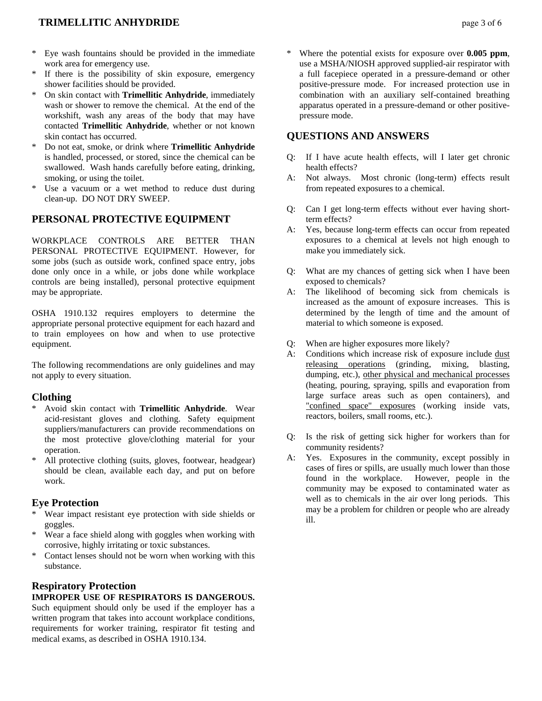- Eye wash fountains should be provided in the immediate work area for emergency use.
- If there is the possibility of skin exposure, emergency shower facilities should be provided.
- \* On skin contact with **Trimellitic Anhydride**, immediately wash or shower to remove the chemical. At the end of the workshift, wash any areas of the body that may have contacted **Trimellitic Anhydride**, whether or not known skin contact has occurred.
- \* Do not eat, smoke, or drink where **Trimellitic Anhydride** is handled, processed, or stored, since the chemical can be swallowed. Wash hands carefully before eating, drinking, smoking, or using the toilet.
- \* Use a vacuum or a wet method to reduce dust during clean-up. DO NOT DRY SWEEP.

# **PERSONAL PROTECTIVE EQUIPMENT**

WORKPLACE CONTROLS ARE BETTER THAN PERSONAL PROTECTIVE EQUIPMENT. However, for some jobs (such as outside work, confined space entry, jobs done only once in a while, or jobs done while workplace controls are being installed), personal protective equipment may be appropriate.

OSHA 1910.132 requires employers to determine the appropriate personal protective equipment for each hazard and to train employees on how and when to use protective equipment.

The following recommendations are only guidelines and may not apply to every situation.

#### **Clothing**

- \* Avoid skin contact with **Trimellitic Anhydride**. Wear acid-resistant gloves and clothing. Safety equipment suppliers/manufacturers can provide recommendations on the most protective glove/clothing material for your operation.
- \* All protective clothing (suits, gloves, footwear, headgear) should be clean, available each day, and put on before work.

#### **Eye Protection**

- Wear impact resistant eye protection with side shields or goggles.
- \* Wear a face shield along with goggles when working with corrosive, highly irritating or toxic substances.
- Contact lenses should not be worn when working with this substance.

# **Respiratory Protection**

#### **IMPROPER USE OF RESPIRATORS IS DANGEROUS.**

Such equipment should only be used if the employer has a written program that takes into account workplace conditions, requirements for worker training, respirator fit testing and medical exams, as described in OSHA 1910.134.

Where the potential exists for exposure over **0.005 ppm**, use a MSHA/NIOSH approved supplied-air respirator with a full facepiece operated in a pressure-demand or other positive-pressure mode. For increased protection use in combination with an auxiliary self-contained breathing apparatus operated in a pressure-demand or other positivepressure mode.

#### **QUESTIONS AND ANSWERS**

- Q: If I have acute health effects, will I later get chronic health effects?
- A: Not always. Most chronic (long-term) effects result from repeated exposures to a chemical.
- Q: Can I get long-term effects without ever having shortterm effects?
- A: Yes, because long-term effects can occur from repeated exposures to a chemical at levels not high enough to make you immediately sick.
- Q: What are my chances of getting sick when I have been exposed to chemicals?
- A: The likelihood of becoming sick from chemicals is increased as the amount of exposure increases. This is determined by the length of time and the amount of material to which someone is exposed.
- Q: When are higher exposures more likely?
- A: Conditions which increase risk of exposure include dust releasing operations (grinding, mixing, blasting, dumping, etc.), other physical and mechanical processes (heating, pouring, spraying, spills and evaporation from large surface areas such as open containers), and "confined space" exposures (working inside vats, reactors, boilers, small rooms, etc.).
- Q: Is the risk of getting sick higher for workers than for community residents?
- A: Yes. Exposures in the community, except possibly in cases of fires or spills, are usually much lower than those found in the workplace. However, people in the community may be exposed to contaminated water as well as to chemicals in the air over long periods. This may be a problem for children or people who are already ill.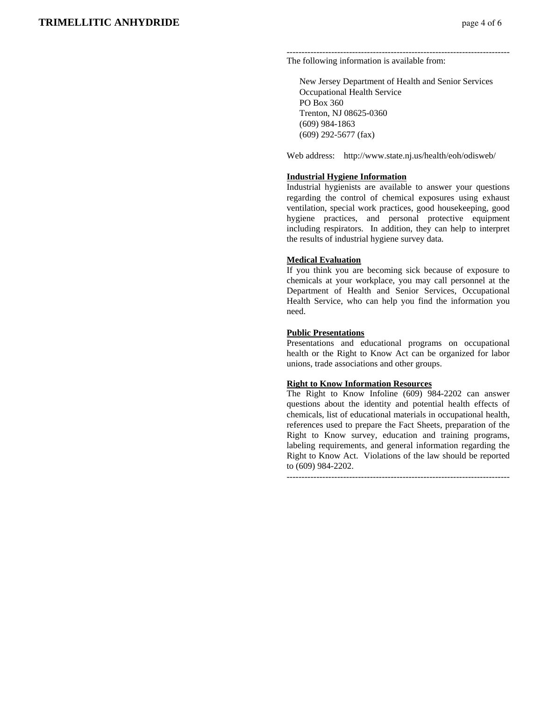#### --------------------------------------------------------------------------- The following information is available from:

 New Jersey Department of Health and Senior Services Occupational Health Service PO Box 360 Trenton, NJ 08625-0360 (609) 984-1863 (609) 292-5677 (fax)

Web address: http://www.state.nj.us/health/eoh/odisweb/

#### **Industrial Hygiene Information**

Industrial hygienists are available to answer your questions regarding the control of chemical exposures using exhaust ventilation, special work practices, good housekeeping, good hygiene practices, and personal protective equipment including respirators. In addition, they can help to interpret the results of industrial hygiene survey data.

#### **Medical Evaluation**

If you think you are becoming sick because of exposure to chemicals at your workplace, you may call personnel at the Department of Health and Senior Services, Occupational Health Service, who can help you find the information you need.

#### **Public Presentations**

Presentations and educational programs on occupational health or the Right to Know Act can be organized for labor unions, trade associations and other groups.

#### **Right to Know Information Resources**

The Right to Know Infoline (609) 984-2202 can answer questions about the identity and potential health effects of chemicals, list of educational materials in occupational health, references used to prepare the Fact Sheets, preparation of the Right to Know survey, education and training programs, labeling requirements, and general information regarding the Right to Know Act. Violations of the law should be reported to (609) 984-2202.

---------------------------------------------------------------------------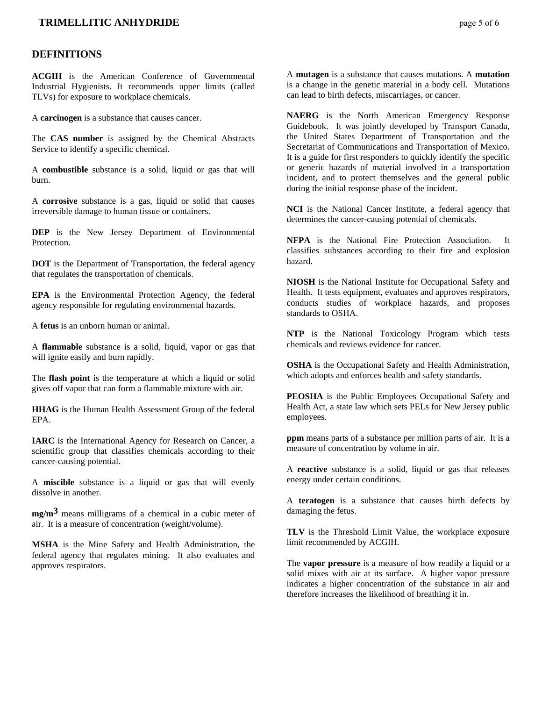#### **TRIMELLITIC ANHYDRIDE** *page 5 of 6*

#### **DEFINITIONS**

**ACGIH** is the American Conference of Governmental Industrial Hygienists. It recommends upper limits (called TLVs) for exposure to workplace chemicals.

A **carcinogen** is a substance that causes cancer.

The **CAS number** is assigned by the Chemical Abstracts Service to identify a specific chemical.

A **combustible** substance is a solid, liquid or gas that will burn.

A **corrosive** substance is a gas, liquid or solid that causes irreversible damage to human tissue or containers.

**DEP** is the New Jersey Department of Environmental Protection.

**DOT** is the Department of Transportation, the federal agency that regulates the transportation of chemicals.

**EPA** is the Environmental Protection Agency, the federal agency responsible for regulating environmental hazards.

A **fetus** is an unborn human or animal.

A **flammable** substance is a solid, liquid, vapor or gas that will ignite easily and burn rapidly.

The **flash point** is the temperature at which a liquid or solid gives off vapor that can form a flammable mixture with air.

**HHAG** is the Human Health Assessment Group of the federal EPA.

**IARC** is the International Agency for Research on Cancer, a scientific group that classifies chemicals according to their cancer-causing potential.

A **miscible** substance is a liquid or gas that will evenly dissolve in another.

**mg/m3** means milligrams of a chemical in a cubic meter of air. It is a measure of concentration (weight/volume).

**MSHA** is the Mine Safety and Health Administration, the federal agency that regulates mining. It also evaluates and approves respirators.

A **mutagen** is a substance that causes mutations. A **mutation** is a change in the genetic material in a body cell. Mutations can lead to birth defects, miscarriages, or cancer.

**NAERG** is the North American Emergency Response Guidebook. It was jointly developed by Transport Canada, the United States Department of Transportation and the Secretariat of Communications and Transportation of Mexico. It is a guide for first responders to quickly identify the specific or generic hazards of material involved in a transportation incident, and to protect themselves and the general public during the initial response phase of the incident.

**NCI** is the National Cancer Institute, a federal agency that determines the cancer-causing potential of chemicals.

**NFPA** is the National Fire Protection Association. It classifies substances according to their fire and explosion hazard.

**NIOSH** is the National Institute for Occupational Safety and Health. It tests equipment, evaluates and approves respirators, conducts studies of workplace hazards, and proposes standards to OSHA.

**NTP** is the National Toxicology Program which tests chemicals and reviews evidence for cancer.

**OSHA** is the Occupational Safety and Health Administration, which adopts and enforces health and safety standards.

**PEOSHA** is the Public Employees Occupational Safety and Health Act, a state law which sets PELs for New Jersey public employees.

**ppm** means parts of a substance per million parts of air. It is a measure of concentration by volume in air.

A **reactive** substance is a solid, liquid or gas that releases energy under certain conditions.

A **teratogen** is a substance that causes birth defects by damaging the fetus.

**TLV** is the Threshold Limit Value, the workplace exposure limit recommended by ACGIH.

The **vapor pressure** is a measure of how readily a liquid or a solid mixes with air at its surface. A higher vapor pressure indicates a higher concentration of the substance in air and therefore increases the likelihood of breathing it in.